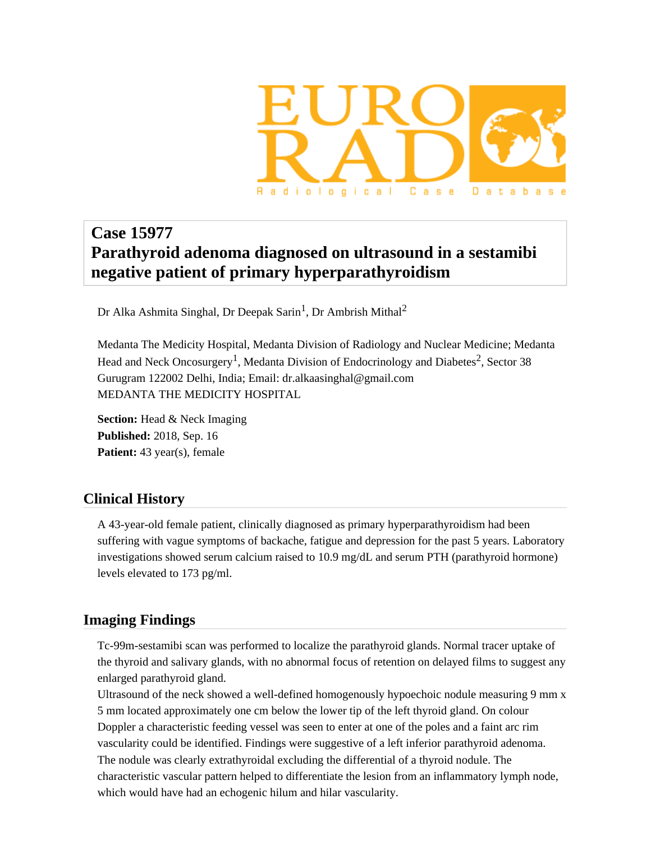

# **Case 15977 Parathyroid adenoma diagnosed on ultrasound in a sestamibi negative patient of primary hyperparathyroidism**

Dr Alka Ashmita Singhal, Dr Deepak Sarin<sup>1</sup>, Dr Ambrish Mithal<sup>2</sup>

Medanta The Medicity Hospital, Medanta Division of Radiology and Nuclear Medicine; Medanta Head and Neck Oncosurgery<sup>1</sup>, Medanta Division of Endocrinology and Diabetes<sup>2</sup>, Sector 38 Gurugram 122002 Delhi, India; Email: dr.alkaasinghal@gmail.com MEDANTA THE MEDICITY HOSPITAL

**Section:** Head & Neck Imaging **Published:** 2018, Sep. 16 **Patient:** 43 year(s), female

# **Clinical History**

A 43-year-old female patient, clinically diagnosed as primary hyperparathyroidism had been suffering with vague symptoms of backache, fatigue and depression for the past 5 years. Laboratory investigations showed serum calcium raised to 10.9 mg/dL and serum PTH (parathyroid hormone) levels elevated to 173 pg/ml.

# **Imaging Findings**

Tc-99m-sestamibi scan was performed to localize the parathyroid glands. Normal tracer uptake of the thyroid and salivary glands, with no abnormal focus of retention on delayed films to suggest any enlarged parathyroid gland.

Ultrasound of the neck showed a well-defined homogenously hypoechoic nodule measuring 9 mm x 5 mm located approximately one cm below the lower tip of the left thyroid gland. On colour Doppler a characteristic feeding vessel was seen to enter at one of the poles and a faint arc rim vascularity could be identified. Findings were suggestive of a left inferior parathyroid adenoma. The nodule was clearly extrathyroidal excluding the differential of a thyroid nodule. The characteristic vascular pattern helped to differentiate the lesion from an inflammatory lymph node, which would have had an echogenic hilum and hilar vascularity.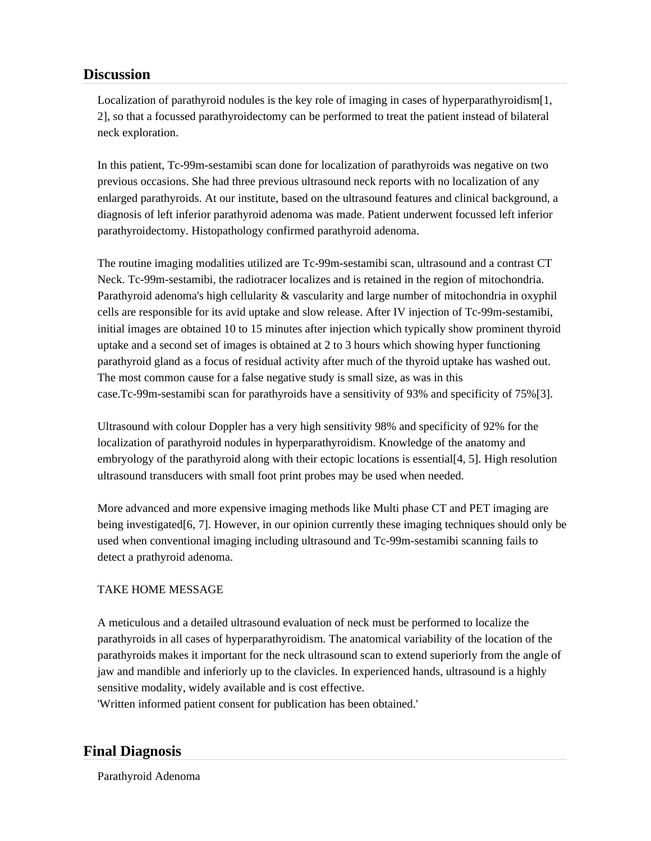# **Discussion**

Localization of parathyroid nodules is the key role of imaging in cases of hyperparathyroidism<sup>[1</sup>]. 2], so that a focussed parathyroidectomy can be performed to treat the patient instead of bilateral neck exploration.

In this patient, Tc-99m-sestamibi scan done for localization of parathyroids was negative on two previous occasions. She had three previous ultrasound neck reports with no localization of any enlarged parathyroids. At our institute, based on the ultrasound features and clinical background, a diagnosis of left inferior parathyroid adenoma was made. Patient underwent focussed left inferior parathyroidectomy. Histopathology confirmed parathyroid adenoma.

The routine imaging modalities utilized are Tc-99m-sestamibi scan, ultrasound and a contrast CT Neck. Tc-99m-sestamibi, the radiotracer localizes and is retained in the region of mitochondria. Parathyroid adenoma's high cellularity & vascularity and large number of mitochondria in oxyphil cells are responsible for its avid uptake and slow release. After IV injection of Tc-99m-sestamibi, initial images are obtained 10 to 15 minutes after injection which typically show prominent thyroid uptake and a second set of images is obtained at 2 to 3 hours which showing hyper functioning parathyroid gland as a focus of residual activity after much of the thyroid uptake has washed out. The most common cause for a false negative study is small size, as was in this case.Tc-99m-sestamibi scan for parathyroids have a sensitivity of 93% and specificity of 75%[3].

Ultrasound with colour Doppler has a very high sensitivity 98% and specificity of 92% for the localization of parathyroid nodules in hyperparathyroidism. Knowledge of the anatomy and embryology of the parathyroid along with their ectopic locations is essential [4, 5]. High resolution ultrasound transducers with small foot print probes may be used when needed.

More advanced and more expensive imaging methods like Multi phase CT and PET imaging are being investigated[6, 7]. However, in our opinion currently these imaging techniques should only be used when conventional imaging including ultrasound and Tc-99m-sestamibi scanning fails to detect a prathyroid adenoma.

### TAKE HOME MESSAGE

A meticulous and a detailed ultrasound evaluation of neck must be performed to localize the parathyroids in all cases of hyperparathyroidism. The anatomical variability of the location of the parathyroids makes it important for the neck ultrasound scan to extend superiorly from the angle of jaw and mandible and inferiorly up to the clavicles. In experienced hands, ultrasound is a highly sensitive modality, widely available and is cost effective.

'Written informed patient consent for publication has been obtained.'

# **Final Diagnosis**

Parathyroid Adenoma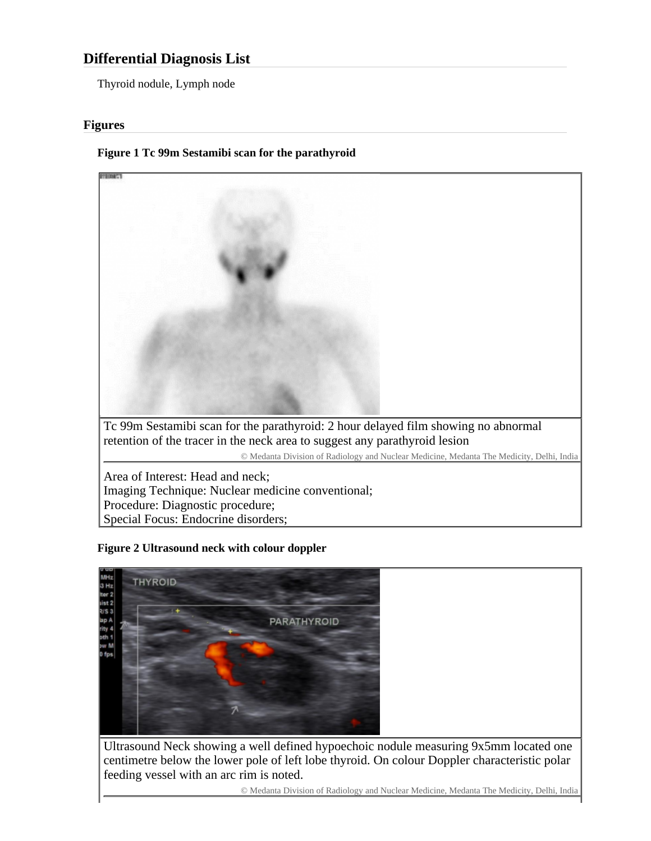# **Differential Diagnosis List**

Thyroid nodule, Lymph node

#### **Figures**

#### **Figure 1 Tc 99m Sestamibi scan for the parathyroid**



#### **Figure 2 Ultrasound neck with colour doppler**



Ultrasound Neck showing a well defined hypoechoic nodule measuring 9x5mm located one centimetre below the lower pole of left lobe thyroid. On colour Doppler characteristic polar feeding vessel with an arc rim is noted.

© Medanta Division of Radiology and Nuclear Medicine, Medanta The Medicity, Delhi, India